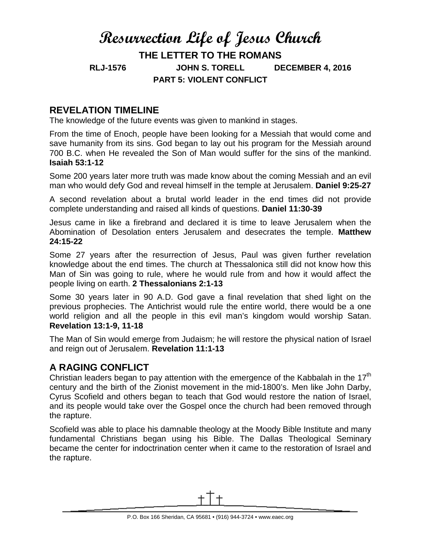# **Resurrection Life of Jesus Church THE LETTER TO THE ROMANS RLJ-1576 JOHN S. TORELL DECEMBER 4, 2016 PART 5: VIOLENT CONFLICT**

## **REVELATION TIMELINE**

The knowledge of the future events was given to mankind in stages.

From the time of Enoch, people have been looking for a Messiah that would come and save humanity from its sins. God began to lay out his program for the Messiah around 700 B.C. when He revealed the Son of Man would suffer for the sins of the mankind. **Isaiah 53:1-12**

Some 200 years later more truth was made know about the coming Messiah and an evil man who would defy God and reveal himself in the temple at Jerusalem. **Daniel 9:25-27**

A second revelation about a brutal world leader in the end times did not provide complete understanding and raised all kinds of questions. **Daniel 11:30-39**

Jesus came in like a firebrand and declared it is time to leave Jerusalem when the Abomination of Desolation enters Jerusalem and desecrates the temple. **Matthew 24:15-22**

Some 27 years after the resurrection of Jesus, Paul was given further revelation knowledge about the end times. The church at Thessalonica still did not know how this Man of Sin was going to rule, where he would rule from and how it would affect the people living on earth. **2 Thessalonians 2:1-13**

Some 30 years later in 90 A.D. God gave a final revelation that shed light on the previous prophecies. The Antichrist would rule the entire world, there would be a one world religion and all the people in this evil man's kingdom would worship Satan. **Revelation 13:1-9, 11-18**

The Man of Sin would emerge from Judaism; he will restore the physical nation of Israel and reign out of Jerusalem. **Revelation 11:1-13**

### **A RAGING CONFLICT**

Christian leaders began to pay attention with the emergence of the Kabbalah in the 17 $<sup>th</sup>$ </sup> century and the birth of the Zionist movement in the mid-1800's. Men like John Darby, Cyrus Scofield and others began to teach that God would restore the nation of Israel, and its people would take over the Gospel once the church had been removed through the rapture.

Scofield was able to place his damnable theology at the Moody Bible Institute and many fundamental Christians began using his Bible. The Dallas Theological Seminary became the center for indoctrination center when it came to the restoration of Israel and the rapture.